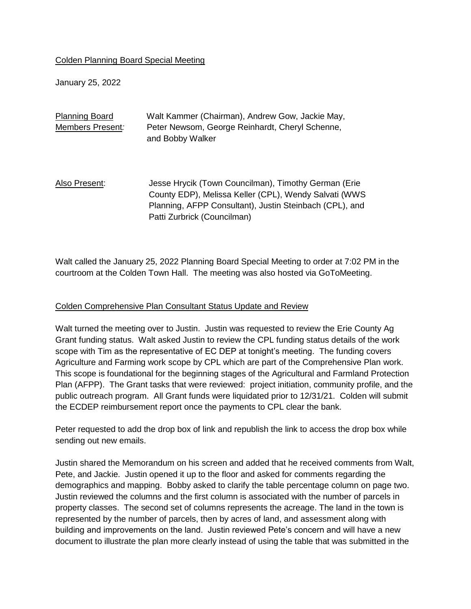### Colden Planning Board Special Meeting

January 25, 2022

| <b>Planning Board</b> | Walt Kammer (Chairman), Andrew Gow, Jackie May,                                                                                                                                                         |
|-----------------------|---------------------------------------------------------------------------------------------------------------------------------------------------------------------------------------------------------|
| Members Present:      | Peter Newsom, George Reinhardt, Cheryl Schenne,<br>and Bobby Walker                                                                                                                                     |
| Also Present:         | Jesse Hrycik (Town Councilman), Timothy German (Erie<br>County EDP), Melissa Keller (CPL), Wendy Salvati (WWS<br>Planning, AFPP Consultant), Justin Steinbach (CPL), and<br>Patti Zurbrick (Councilman) |

Walt called the January 25, 2022 Planning Board Special Meeting to order at 7:02 PM in the courtroom at the Colden Town Hall. The meeting was also hosted via GoToMeeting.

### Colden Comprehensive Plan Consultant Status Update and Review

Walt turned the meeting over to Justin. Justin was requested to review the Erie County Ag Grant funding status. Walt asked Justin to review the CPL funding status details of the work scope with Tim as the representative of EC DEP at tonight's meeting. The funding covers Agriculture and Farming work scope by CPL which are part of the Comprehensive Plan work. This scope is foundational for the beginning stages of the Agricultural and Farmland Protection Plan (AFPP). The Grant tasks that were reviewed: project initiation, community profile, and the public outreach program. All Grant funds were liquidated prior to 12/31/21. Colden will submit the ECDEP reimbursement report once the payments to CPL clear the bank.

Peter requested to add the drop box of link and republish the link to access the drop box while sending out new emails.

Justin shared the Memorandum on his screen and added that he received comments from Walt, Pete, and Jackie. Justin opened it up to the floor and asked for comments regarding the demographics and mapping. Bobby asked to clarify the table percentage column on page two. Justin reviewed the columns and the first column is associated with the number of parcels in property classes. The second set of columns represents the acreage. The land in the town is represented by the number of parcels, then by acres of land, and assessment along with building and improvements on the land. Justin reviewed Pete's concern and will have a new document to illustrate the plan more clearly instead of using the table that was submitted in the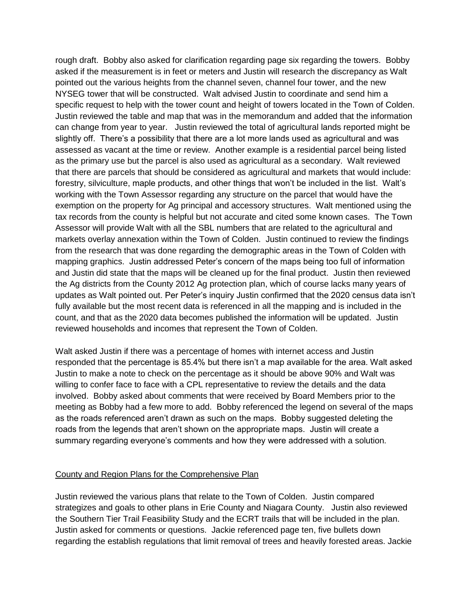rough draft. Bobby also asked for clarification regarding page six regarding the towers. Bobby asked if the measurement is in feet or meters and Justin will research the discrepancy as Walt pointed out the various heights from the channel seven, channel four tower, and the new NYSEG tower that will be constructed. Walt advised Justin to coordinate and send him a specific request to help with the tower count and height of towers located in the Town of Colden. Justin reviewed the table and map that was in the memorandum and added that the information can change from year to year. Justin reviewed the total of agricultural lands reported might be slightly off. There's a possibility that there are a lot more lands used as agricultural and was assessed as vacant at the time or review. Another example is a residential parcel being listed as the primary use but the parcel is also used as agricultural as a secondary. Walt reviewed that there are parcels that should be considered as agricultural and markets that would include: forestry, silviculture, maple products, and other things that won't be included in the list. Walt's working with the Town Assessor regarding any structure on the parcel that would have the exemption on the property for Ag principal and accessory structures. Walt mentioned using the tax records from the county is helpful but not accurate and cited some known cases. The Town Assessor will provide Walt with all the SBL numbers that are related to the agricultural and markets overlay annexation within the Town of Colden. Justin continued to review the findings from the research that was done regarding the demographic areas in the Town of Colden with mapping graphics. Justin addressed Peter's concern of the maps being too full of information and Justin did state that the maps will be cleaned up for the final product. Justin then reviewed the Ag districts from the County 2012 Ag protection plan, which of course lacks many years of updates as Walt pointed out. Per Peter's inquiry Justin confirmed that the 2020 census data isn't fully available but the most recent data is referenced in all the mapping and is included in the count, and that as the 2020 data becomes published the information will be updated. Justin reviewed households and incomes that represent the Town of Colden.

Walt asked Justin if there was a percentage of homes with internet access and Justin responded that the percentage is 85.4% but there isn't a map available for the area. Walt asked Justin to make a note to check on the percentage as it should be above 90% and Walt was willing to confer face to face with a CPL representative to review the details and the data involved. Bobby asked about comments that were received by Board Members prior to the meeting as Bobby had a few more to add. Bobby referenced the legend on several of the maps as the roads referenced aren't drawn as such on the maps. Bobby suggested deleting the roads from the legends that aren't shown on the appropriate maps. Justin will create a summary regarding everyone's comments and how they were addressed with a solution.

### County and Region Plans for the Comprehensive Plan

Justin reviewed the various plans that relate to the Town of Colden. Justin compared strategizes and goals to other plans in Erie County and Niagara County. Justin also reviewed the Southern Tier Trail Feasibility Study and the ECRT trails that will be included in the plan. Justin asked for comments or questions. Jackie referenced page ten, five bullets down regarding the establish regulations that limit removal of trees and heavily forested areas. Jackie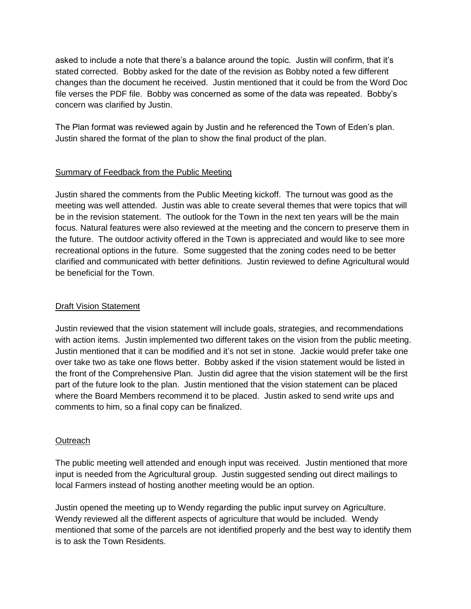asked to include a note that there's a balance around the topic. Justin will confirm, that it's stated corrected. Bobby asked for the date of the revision as Bobby noted a few different changes than the document he received. Justin mentioned that it could be from the Word Doc file verses the PDF file. Bobby was concerned as some of the data was repeated. Bobby's concern was clarified by Justin.

The Plan format was reviewed again by Justin and he referenced the Town of Eden's plan. Justin shared the format of the plan to show the final product of the plan.

## Summary of Feedback from the Public Meeting

Justin shared the comments from the Public Meeting kickoff. The turnout was good as the meeting was well attended. Justin was able to create several themes that were topics that will be in the revision statement. The outlook for the Town in the next ten years will be the main focus. Natural features were also reviewed at the meeting and the concern to preserve them in the future. The outdoor activity offered in the Town is appreciated and would like to see more recreational options in the future. Some suggested that the zoning codes need to be better clarified and communicated with better definitions. Justin reviewed to define Agricultural would be beneficial for the Town.

# Draft Vision Statement

Justin reviewed that the vision statement will include goals, strategies, and recommendations with action items. Justin implemented two different takes on the vision from the public meeting. Justin mentioned that it can be modified and it's not set in stone. Jackie would prefer take one over take two as take one flows better. Bobby asked if the vision statement would be listed in the front of the Comprehensive Plan. Justin did agree that the vision statement will be the first part of the future look to the plan. Justin mentioned that the vision statement can be placed where the Board Members recommend it to be placed. Justin asked to send write ups and comments to him, so a final copy can be finalized.

### **Outreach**

The public meeting well attended and enough input was received. Justin mentioned that more input is needed from the Agricultural group. Justin suggested sending out direct mailings to local Farmers instead of hosting another meeting would be an option.

Justin opened the meeting up to Wendy regarding the public input survey on Agriculture. Wendy reviewed all the different aspects of agriculture that would be included. Wendy mentioned that some of the parcels are not identified properly and the best way to identify them is to ask the Town Residents.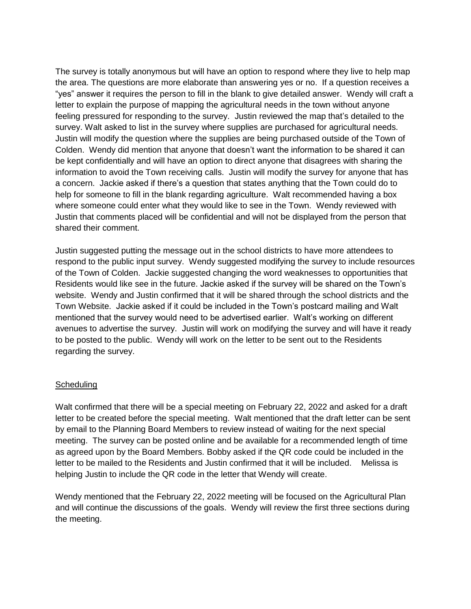The survey is totally anonymous but will have an option to respond where they live to help map the area. The questions are more elaborate than answering yes or no. If a question receives a "yes" answer it requires the person to fill in the blank to give detailed answer. Wendy will craft a letter to explain the purpose of mapping the agricultural needs in the town without anyone feeling pressured for responding to the survey. Justin reviewed the map that's detailed to the survey. Walt asked to list in the survey where supplies are purchased for agricultural needs. Justin will modify the question where the supplies are being purchased outside of the Town of Colden. Wendy did mention that anyone that doesn't want the information to be shared it can be kept confidentially and will have an option to direct anyone that disagrees with sharing the information to avoid the Town receiving calls. Justin will modify the survey for anyone that has a concern. Jackie asked if there's a question that states anything that the Town could do to help for someone to fill in the blank regarding agriculture. Walt recommended having a box where someone could enter what they would like to see in the Town. Wendy reviewed with Justin that comments placed will be confidential and will not be displayed from the person that shared their comment.

Justin suggested putting the message out in the school districts to have more attendees to respond to the public input survey. Wendy suggested modifying the survey to include resources of the Town of Colden. Jackie suggested changing the word weaknesses to opportunities that Residents would like see in the future. Jackie asked if the survey will be shared on the Town's website. Wendy and Justin confirmed that it will be shared through the school districts and the Town Website. Jackie asked if it could be included in the Town's postcard mailing and Walt mentioned that the survey would need to be advertised earlier. Walt's working on different avenues to advertise the survey. Justin will work on modifying the survey and will have it ready to be posted to the public. Wendy will work on the letter to be sent out to the Residents regarding the survey.

### **Scheduling**

Walt confirmed that there will be a special meeting on February 22, 2022 and asked for a draft letter to be created before the special meeting. Walt mentioned that the draft letter can be sent by email to the Planning Board Members to review instead of waiting for the next special meeting. The survey can be posted online and be available for a recommended length of time as agreed upon by the Board Members. Bobby asked if the QR code could be included in the letter to be mailed to the Residents and Justin confirmed that it will be included. Melissa is helping Justin to include the QR code in the letter that Wendy will create.

Wendy mentioned that the February 22, 2022 meeting will be focused on the Agricultural Plan and will continue the discussions of the goals. Wendy will review the first three sections during the meeting.